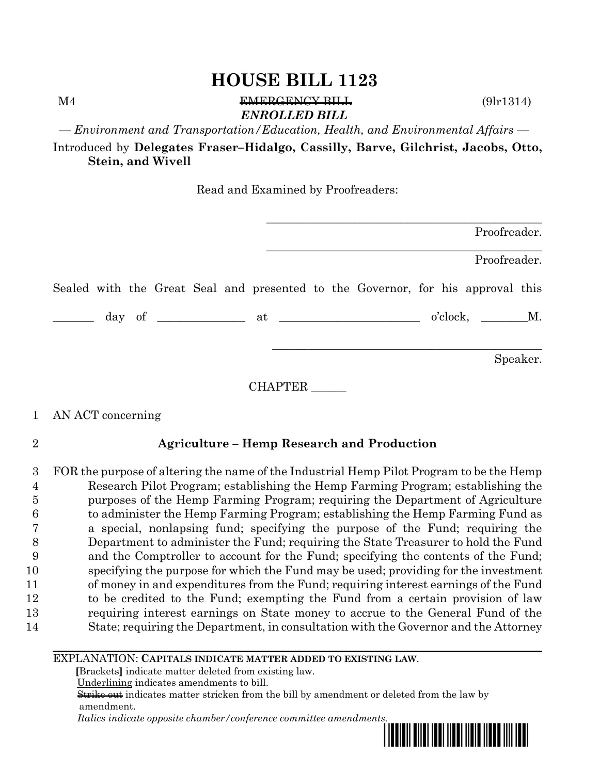M4 EMERGENCY BILL (9lr1314) *ENROLLED BILL*

*— Environment and Transportation/Education, Health, and Environmental Affairs —*

Introduced by **Delegates Fraser–Hidalgo, Cassilly, Barve, Gilchrist, Jacobs, Otto, Stein, and Wivell**

Read and Examined by Proofreaders:

|         | Proofreader.                                                                    |
|---------|---------------------------------------------------------------------------------|
|         | Proofreader.                                                                    |
|         | Sealed with the Great Seal and presented to the Governor, for his approval this |
|         | $o'clock, \t M.$                                                                |
|         | Speaker.                                                                        |
| CHAPTER |                                                                                 |

## 1 AN ACT concerning

## 2 **Agriculture – Hemp Research and Production**

 FOR the purpose of altering the name of the Industrial Hemp Pilot Program to be the Hemp Research Pilot Program; establishing the Hemp Farming Program; establishing the purposes of the Hemp Farming Program; requiring the Department of Agriculture to administer the Hemp Farming Program; establishing the Hemp Farming Fund as a special, nonlapsing fund; specifying the purpose of the Fund; requiring the Department to administer the Fund; requiring the State Treasurer to hold the Fund and the Comptroller to account for the Fund; specifying the contents of the Fund; specifying the purpose for which the Fund may be used; providing for the investment of money in and expenditures from the Fund; requiring interest earnings of the Fund to be credited to the Fund; exempting the Fund from a certain provision of law requiring interest earnings on State money to accrue to the General Fund of the State; requiring the Department, in consultation with the Governor and the Attorney

#### EXPLANATION: **CAPITALS INDICATE MATTER ADDED TO EXISTING LAW**.

 **[**Brackets**]** indicate matter deleted from existing law.

Underlining indicates amendments to bill.

 Strike out indicates matter stricken from the bill by amendment or deleted from the law by amendment.

 *Italics indicate opposite chamber/conference committee amendments.*

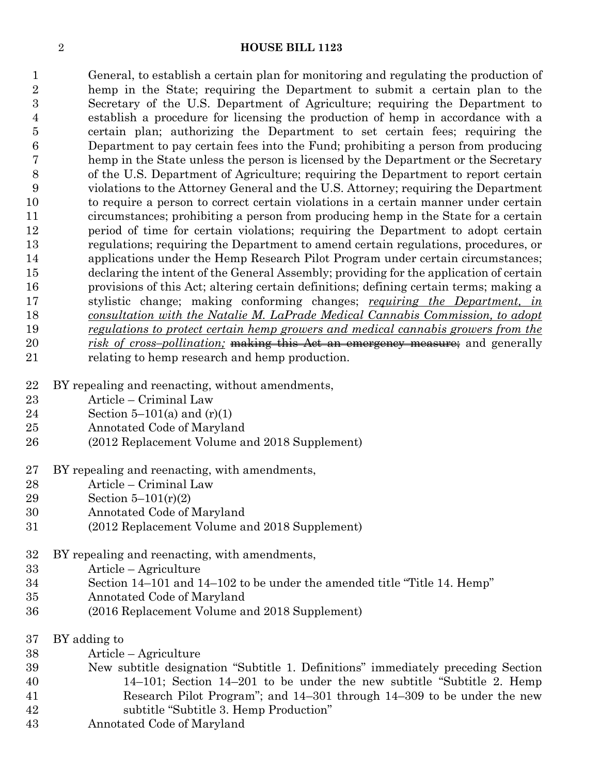General, to establish a certain plan for monitoring and regulating the production of hemp in the State; requiring the Department to submit a certain plan to the Secretary of the U.S. Department of Agriculture; requiring the Department to establish a procedure for licensing the production of hemp in accordance with a certain plan; authorizing the Department to set certain fees; requiring the Department to pay certain fees into the Fund; prohibiting a person from producing hemp in the State unless the person is licensed by the Department or the Secretary of the U.S. Department of Agriculture; requiring the Department to report certain violations to the Attorney General and the U.S. Attorney; requiring the Department to require a person to correct certain violations in a certain manner under certain circumstances; prohibiting a person from producing hemp in the State for a certain period of time for certain violations; requiring the Department to adopt certain regulations; requiring the Department to amend certain regulations, procedures, or applications under the Hemp Research Pilot Program under certain circumstances; declaring the intent of the General Assembly; providing for the application of certain provisions of this Act; altering certain definitions; defining certain terms; making a stylistic change; making conforming changes; *requiring the Department, in consultation with the Natalie M. LaPrade Medical Cannabis Commission, to adopt regulations to protect certain hemp growers and medical cannabis growers from the risk of cross–pollination;* making this Act an emergency measure; and generally relating to hemp research and hemp production.

- BY repealing and reenacting, without amendments,
- Article Criminal Law
- 24 Section 5–101(a) and  $(r)(1)$
- Annotated Code of Maryland
- (2012 Replacement Volume and 2018 Supplement)
- BY repealing and reenacting, with amendments,
- Article Criminal Law
- Section 5–101(r)(2)
- Annotated Code of Maryland
- (2012 Replacement Volume and 2018 Supplement)
- BY repealing and reenacting, with amendments,
- Article Agriculture
- Section 14–101 and 14–102 to be under the amended title "Title 14. Hemp"
- Annotated Code of Maryland
- (2016 Replacement Volume and 2018 Supplement)
- BY adding to
- Article Agriculture
- New subtitle designation "Subtitle 1. Definitions" immediately preceding Section 14–101; Section 14–201 to be under the new subtitle "Subtitle 2. Hemp Research Pilot Program"; and 14–301 through 14–309 to be under the new subtitle "Subtitle 3. Hemp Production"
- Annotated Code of Maryland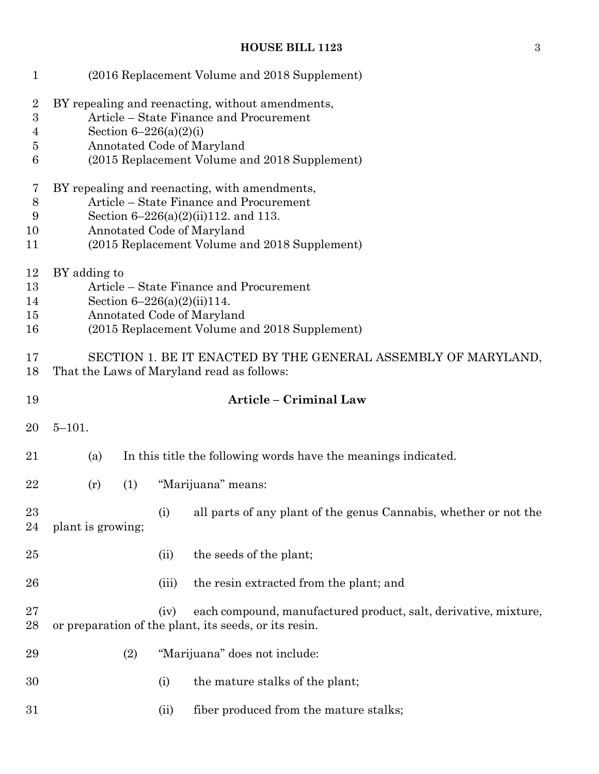| $\mathbf{1}$                                                                  |                                                                                                                                                                                                                    |     |                            | (2016 Replacement Volume and 2018 Supplement)                                                                                                                              |
|-------------------------------------------------------------------------------|--------------------------------------------------------------------------------------------------------------------------------------------------------------------------------------------------------------------|-----|----------------------------|----------------------------------------------------------------------------------------------------------------------------------------------------------------------------|
| $\boldsymbol{2}$<br>$\boldsymbol{3}$<br>$\overline{4}$<br>$\overline{5}$<br>6 |                                                                                                                                                                                                                    |     | Section $6 - 226(a)(2)(i)$ | BY repealing and reenacting, without amendments,<br>Article – State Finance and Procurement<br>Annotated Code of Maryland<br>(2015 Replacement Volume and 2018 Supplement) |
| 7<br>$8\,$<br>9<br>10<br>11                                                   | BY repealing and reenacting, with amendments,<br>Article – State Finance and Procurement<br>Section $6-226(a)(2)(ii)112$ , and 113.<br>Annotated Code of Maryland<br>(2015 Replacement Volume and 2018 Supplement) |     |                            |                                                                                                                                                                            |
| 12<br>13<br>14<br>15<br>16                                                    | BY adding to                                                                                                                                                                                                       |     |                            | Article – State Finance and Procurement<br>Section $6-226(a)(2)(ii)114$ .<br>Annotated Code of Maryland<br>(2015 Replacement Volume and 2018 Supplement)                   |
| 17<br>18                                                                      |                                                                                                                                                                                                                    |     |                            | SECTION 1. BE IT ENACTED BY THE GENERAL ASSEMBLY OF MARYLAND,<br>That the Laws of Maryland read as follows:                                                                |
| 19                                                                            |                                                                                                                                                                                                                    |     |                            | Article - Criminal Law                                                                                                                                                     |
| 20                                                                            | $5 - 101.$                                                                                                                                                                                                         |     |                            |                                                                                                                                                                            |
| 21                                                                            | (a)                                                                                                                                                                                                                |     |                            | In this title the following words have the meanings indicated.                                                                                                             |
| 22                                                                            | (r)                                                                                                                                                                                                                | (1) |                            | "Marijuana" means:                                                                                                                                                         |
| 23<br>24                                                                      | plant is growing;                                                                                                                                                                                                  |     | (i)                        | all parts of any plant of the genus Cannabis, whether or not the                                                                                                           |
| 25                                                                            |                                                                                                                                                                                                                    |     | (ii)                       | the seeds of the plant;                                                                                                                                                    |
| 26                                                                            |                                                                                                                                                                                                                    |     | (iii)                      | the resin extracted from the plant; and                                                                                                                                    |
| 27<br>28                                                                      |                                                                                                                                                                                                                    |     | (iv)                       | each compound, manufactured product, salt, derivative, mixture,<br>or preparation of the plant, its seeds, or its resin.                                                   |
| 29                                                                            |                                                                                                                                                                                                                    | (2) |                            | "Marijuana" does not include:                                                                                                                                              |
| 30                                                                            |                                                                                                                                                                                                                    |     | (i)                        | the mature stalks of the plant;                                                                                                                                            |
| 31                                                                            |                                                                                                                                                                                                                    |     | (ii)                       | fiber produced from the mature stalks;                                                                                                                                     |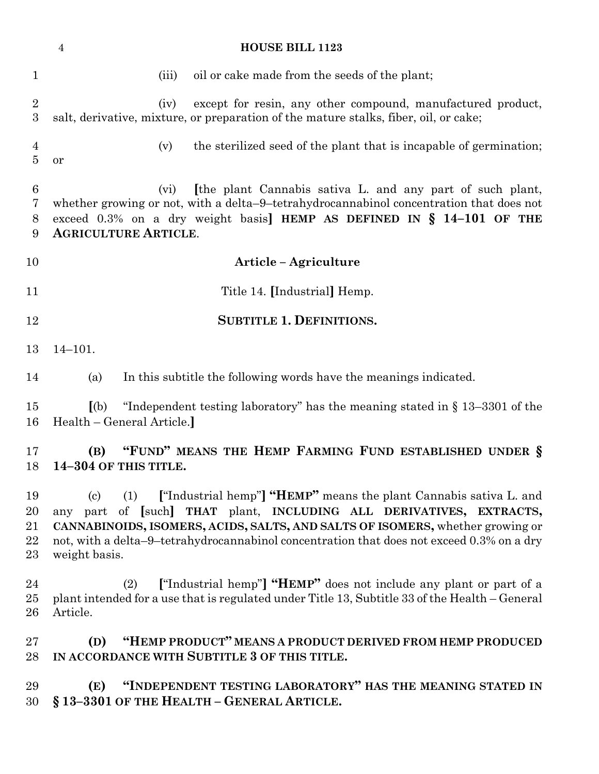|                                | <b>HOUSE BILL 1123</b><br>$\overline{4}$                                                                                                                                                                                                                                                                                                                 |
|--------------------------------|----------------------------------------------------------------------------------------------------------------------------------------------------------------------------------------------------------------------------------------------------------------------------------------------------------------------------------------------------------|
| $\mathbf{1}$                   | oil or cake made from the seeds of the plant;<br>(iii)                                                                                                                                                                                                                                                                                                   |
| $\overline{2}$<br>3            | except for resin, any other compound, manufactured product,<br>(iv)<br>salt, derivative, mixture, or preparation of the mature stalks, fiber, oil, or cake;                                                                                                                                                                                              |
| 4<br>5                         | the sterilized seed of the plant that is incapable of germination;<br>(v)<br>or                                                                                                                                                                                                                                                                          |
| 6<br>7<br>8<br>9               | [the plant Cannabis sativa L. and any part of such plant,<br>(vi)<br>whether growing or not, with a delta-9-tetrahydrocannabinol concentration that does not<br>exceed $0.3\%$ on a dry weight basis] HEMP AS DEFINED IN § 14-101 OF THE<br><b>AGRICULTURE ARTICLE.</b>                                                                                  |
| 10                             | Article - Agriculture                                                                                                                                                                                                                                                                                                                                    |
| 11                             | Title 14. [Industrial] Hemp.                                                                                                                                                                                                                                                                                                                             |
| 12                             | <b>SUBTITLE 1. DEFINITIONS.</b>                                                                                                                                                                                                                                                                                                                          |
| 13                             | $14 - 101.$                                                                                                                                                                                                                                                                                                                                              |
| 14                             | In this subtitle the following words have the meanings indicated.<br>(a)                                                                                                                                                                                                                                                                                 |
| 15<br>16                       | (a)<br>"Independent testing laboratory" has the meaning stated in $\S 13-3301$ of the<br>Health - General Article.                                                                                                                                                                                                                                       |
| 17<br>18                       | "FUND" MEANS THE HEMP FARMING FUND ESTABLISHED UNDER §<br>(B)<br>14-304 OF THIS TITLE.                                                                                                                                                                                                                                                                   |
| 19<br>20<br>$21\,$<br>22<br>23 | ["Industrial hemp"] "HEMP" means the plant Cannabis sativa L. and<br>(c)<br>(1)<br>part of [such] THAT plant, INCLUDING ALL DERIVATIVES, EXTRACTS,<br>any<br>CANNABINOIDS, ISOMERS, ACIDS, SALTS, AND SALTS OF ISOMERS, whether growing or<br>not, with a delta-9-tetrahydrocannabinol concentration that does not exceed 0.3% on a dry<br>weight basis. |
| 24<br>$25\,$<br>26             | ["Industrial hemp"] "HEMP" does not include any plant or part of a<br>(2)<br>plant intended for a use that is regulated under Title 13, Subtitle 33 of the Health – General<br>Article.                                                                                                                                                                  |
| $27\,$<br>28                   | "HEMP PRODUCT" MEANS A PRODUCT DERIVED FROM HEMP PRODUCED<br>(D)<br>IN ACCORDANCE WITH SUBTITLE 3 OF THIS TITLE.                                                                                                                                                                                                                                         |
| 29<br>30                       | "INDEPENDENT TESTING LABORATORY" HAS THE MEANING STATED IN<br>(E)<br>§13-3301 OF THE HEALTH - GENERAL ARTICLE.                                                                                                                                                                                                                                           |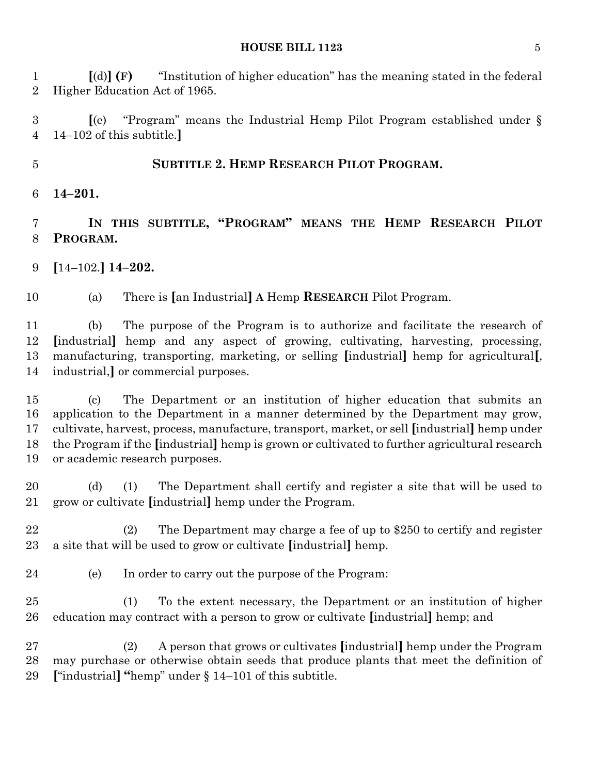**[**(d)**] (F)** "Institution of higher education" has the meaning stated in the federal Higher Education Act of 1965.

 **[**(e) "Program" means the Industrial Hemp Pilot Program established under § 14–102 of this subtitle.**]**

## **SUBTITLE 2. HEMP RESEARCH PILOT PROGRAM.**

**14–201.**

 **IN THIS SUBTITLE, "PROGRAM" MEANS THE HEMP RESEARCH PILOT PROGRAM.**

**[**14–102.**] 14–202.**

(a) There is **[**an Industrial**] A** Hemp **RESEARCH** Pilot Program.

 (b) The purpose of the Program is to authorize and facilitate the research of **[**industrial**]** hemp and any aspect of growing, cultivating, harvesting, processing, manufacturing, transporting, marketing, or selling **[**industrial**]** hemp for agricultural**[**, industrial,**]** or commercial purposes.

 (c) The Department or an institution of higher education that submits an application to the Department in a manner determined by the Department may grow, cultivate, harvest, process, manufacture, transport, market, or sell **[**industrial**]** hemp under the Program if the **[**industrial**]** hemp is grown or cultivated to further agricultural research or academic research purposes.

 (d) (1) The Department shall certify and register a site that will be used to grow or cultivate **[**industrial**]** hemp under the Program.

 (2) The Department may charge a fee of up to \$250 to certify and register a site that will be used to grow or cultivate **[**industrial**]** hemp.

- (e) In order to carry out the purpose of the Program:
- (1) To the extent necessary, the Department or an institution of higher education may contract with a person to grow or cultivate **[**industrial**]** hemp; and

 (2) A person that grows or cultivates **[**industrial**]** hemp under the Program may purchase or otherwise obtain seeds that produce plants that meet the definition of **[**"industrial**] "**hemp" under § 14–101 of this subtitle.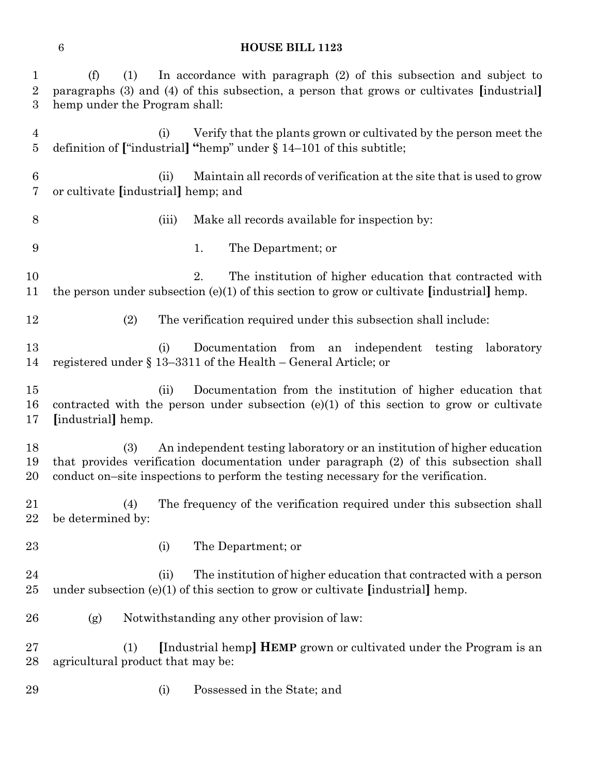| $\mathbf{1}$<br>$\overline{2}$<br>3 | In accordance with paragraph (2) of this subsection and subject to<br>(f)<br>(1)<br>paragraphs (3) and (4) of this subsection, a person that grows or cultivates [industrial]<br>hemp under the Program shall:                                                |
|-------------------------------------|---------------------------------------------------------------------------------------------------------------------------------------------------------------------------------------------------------------------------------------------------------------|
| $\overline{4}$<br>5                 | Verify that the plants grown or cultivated by the person meet the<br>(i)<br>definition of ["industrial] "hemp" under $\S$ 14–101 of this subtitle;                                                                                                            |
| 6<br>7                              | Maintain all records of verification at the site that is used to grow<br>(ii)<br>or cultivate [industrial] hemp; and                                                                                                                                          |
| $8\,$                               | Make all records available for inspection by:<br>(iii)                                                                                                                                                                                                        |
| 9                                   | The Department; or<br>1.                                                                                                                                                                                                                                      |
| 10<br>11                            | 2.<br>The institution of higher education that contracted with<br>the person under subsection (e)(1) of this section to grow or cultivate [industrial] hemp.                                                                                                  |
| 12                                  | (2)<br>The verification required under this subsection shall include:                                                                                                                                                                                         |
| 13<br>14                            | Documentation from an independent<br>testing<br>(i)<br>laboratory<br>registered under $\S 13-3311$ of the Health – General Article; or                                                                                                                        |
| $15\,$<br>16<br>17                  | Documentation from the institution of higher education that<br>(ii)<br>contracted with the person under subsection $(e)(1)$ of this section to grow or cultivate<br>[industrial] hemp.                                                                        |
| 18<br>19<br>20                      | An independent testing laboratory or an institution of higher education<br>(3)<br>that provides verification documentation under paragraph (2) of this subsection shall<br>conduct on-site inspections to perform the testing necessary for the verification. |
| $21\,$<br>22                        | The frequency of the verification required under this subsection shall<br>(4)<br>be determined by:                                                                                                                                                            |
| 23                                  | The Department; or<br>(i)                                                                                                                                                                                                                                     |
| 24<br>25                            | The institution of higher education that contracted with a person<br>(ii)<br>under subsection $(e)(1)$ of this section to grow or cultivate [industrial] hemp.                                                                                                |
| 26                                  | Notwithstanding any other provision of law:<br>(g)                                                                                                                                                                                                            |
| $27\,$<br>28                        | [Industrial hemp] <b>HEMP</b> grown or cultivated under the Program is an<br>(1)<br>agricultural product that may be:                                                                                                                                         |
| 29                                  | Possessed in the State; and<br>(i)                                                                                                                                                                                                                            |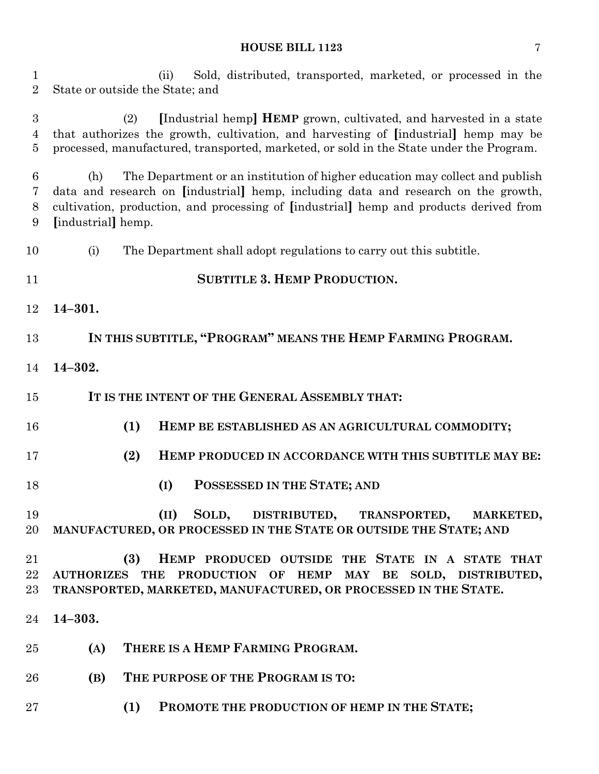| $\mathbf{1}$<br>$\overline{2}$ | Sold, distributed, transported, marketed, or processed in the<br>(ii)<br>State or outside the State; and                                                                                                                                                                                  |
|--------------------------------|-------------------------------------------------------------------------------------------------------------------------------------------------------------------------------------------------------------------------------------------------------------------------------------------|
| 3<br>4<br>$\overline{5}$       | [Industrial hemp] <b>HEMP</b> grown, cultivated, and harvested in a state<br>(2)<br>that authorizes the growth, cultivation, and harvesting of [industrial] hemp may be<br>processed, manufactured, transported, marketed, or sold in the State under the Program.                        |
| 6<br>7<br>8<br>9               | The Department or an institution of higher education may collect and publish<br>(h)<br>data and research on [industrial] hemp, including data and research on the growth,<br>cultivation, production, and processing of [industrial] hemp and products derived from<br>[industrial] hemp. |
| 10                             | (i)<br>The Department shall adopt regulations to carry out this subtitle.                                                                                                                                                                                                                 |
| 11                             | <b>SUBTITLE 3. HEMP PRODUCTION.</b>                                                                                                                                                                                                                                                       |
| 12                             | $14 - 301.$                                                                                                                                                                                                                                                                               |
| 13                             | IN THIS SUBTITLE, "PROGRAM" MEANS THE HEMP FARMING PROGRAM.                                                                                                                                                                                                                               |
| 14                             | $14 - 302.$                                                                                                                                                                                                                                                                               |
| 15                             | IT IS THE INTENT OF THE GENERAL ASSEMBLY THAT:                                                                                                                                                                                                                                            |
| 16                             | (1)<br>HEMP BE ESTABLISHED AS AN AGRICULTURAL COMMODITY;                                                                                                                                                                                                                                  |
| 17                             | (2)<br>HEMP PRODUCED IN ACCORDANCE WITH THIS SUBTITLE MAY BE:                                                                                                                                                                                                                             |
| 18                             | POSSESSED IN THE STATE; AND<br>(I)                                                                                                                                                                                                                                                        |
| 19<br>20                       | SOLD, DISTRIBUTED, TRANSPORTED, MARKETED,<br>(II)<br>MANUFACTURED, OR PROCESSED IN THE STATE OR OUTSIDE THE STATE; AND                                                                                                                                                                    |
| 21<br>22<br>23                 | (3)<br>HEMP PRODUCED OUTSIDE THE STATE IN A STATE THAT<br>AUTHORIZES THE PRODUCTION OF HEMP MAY BE SOLD, DISTRIBUTED,<br>TRANSPORTED, MARKETED, MANUFACTURED, OR PROCESSED IN THE STATE.                                                                                                  |
| 24                             | $14 - 303.$                                                                                                                                                                                                                                                                               |
| 25                             | THERE IS A HEMP FARMING PROGRAM.<br>(A)                                                                                                                                                                                                                                                   |
| 26                             | THE PURPOSE OF THE PROGRAM IS TO:<br>(B)                                                                                                                                                                                                                                                  |
| $27\,$                         | PROMOTE THE PRODUCTION OF HEMP IN THE STATE;<br>(1)                                                                                                                                                                                                                                       |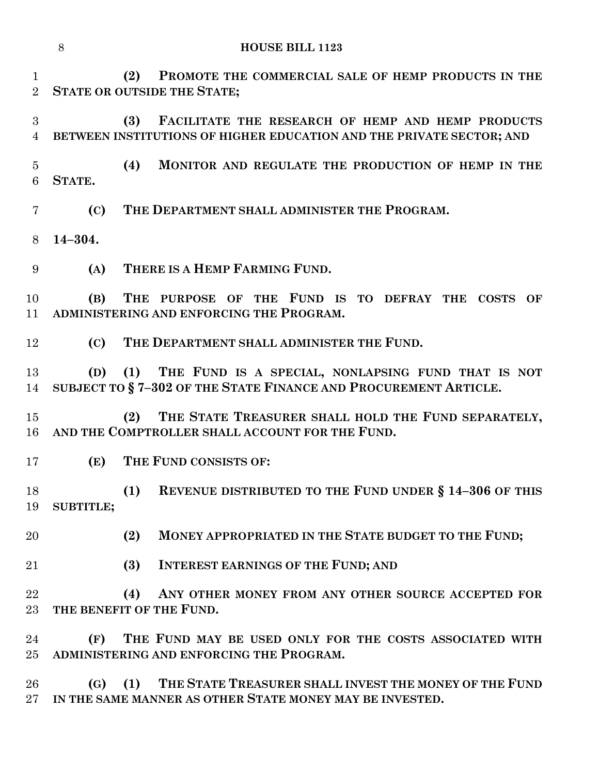|                               | 8                | <b>HOUSE BILL 1123</b>                                                                                                           |
|-------------------------------|------------------|----------------------------------------------------------------------------------------------------------------------------------|
| $\mathbf 1$<br>$\overline{2}$ |                  | (2)<br>PROMOTE THE COMMERCIAL SALE OF HEMP PRODUCTS IN THE<br><b>STATE OR OUTSIDE THE STATE;</b>                                 |
| 3<br>$\overline{4}$           |                  | (3)<br>FACILITATE THE RESEARCH OF HEMP AND HEMP PRODUCTS<br>BETWEEN INSTITUTIONS OF HIGHER EDUCATION AND THE PRIVATE SECTOR; AND |
| $\overline{5}$<br>6           | STATE.           | (4)<br>MONITOR AND REGULATE THE PRODUCTION OF HEMP IN THE                                                                        |
| 7                             | (C)              | THE DEPARTMENT SHALL ADMINISTER THE PROGRAM.                                                                                     |
| 8                             | $14 - 304.$      |                                                                                                                                  |
| 9                             | (A)              | THERE IS A HEMP FARMING FUND.                                                                                                    |
| 10<br>11                      | (B)              | THE PURPOSE OF THE FUND IS TO DEFRAY THE<br><b>COSTS</b><br>OF<br>ADMINISTERING AND ENFORCING THE PROGRAM.                       |
| 12                            | (C)              | THE DEPARTMENT SHALL ADMINISTER THE FUND.                                                                                        |
| 13<br>14                      | (D)              | (1) THE FUND IS A SPECIAL, NONLAPSING FUND THAT IS NOT<br>SUBJECT TO §7-302 OF THE STATE FINANCE AND PROCUREMENT ARTICLE.        |
| 15<br>16                      |                  | THE STATE TREASURER SHALL HOLD THE FUND SEPARATELY,<br>(2)<br>AND THE COMPTROLLER SHALL ACCOUNT FOR THE FUND.                    |
| 17                            | (E)              | THE FUND CONSISTS OF:                                                                                                            |
| 18<br>19                      | <b>SUBTITLE;</b> | (1)<br>REVENUE DISTRIBUTED TO THE FUND UNDER § 14-306 OF THIS                                                                    |
| 20                            |                  | MONEY APPROPRIATED IN THE STATE BUDGET TO THE FUND;<br>(2)                                                                       |
| 21                            |                  | (3)<br><b>INTEREST EARNINGS OF THE FUND; AND</b>                                                                                 |
| 22<br>$23\,$                  |                  | (4)<br>ANY OTHER MONEY FROM ANY OTHER SOURCE ACCEPTED FOR<br>THE BENEFIT OF THE FUND.                                            |
| 24<br>$25\,$                  | (F)              | THE FUND MAY BE USED ONLY FOR THE COSTS ASSOCIATED WITH<br>ADMINISTERING AND ENFORCING THE PROGRAM.                              |
| 26<br>$27\,$                  |                  | (G) (1) THE STATE TREASURER SHALL INVEST THE MONEY OF THE FUND<br>IN THE SAME MANNER AS OTHER STATE MONEY MAY BE INVESTED.       |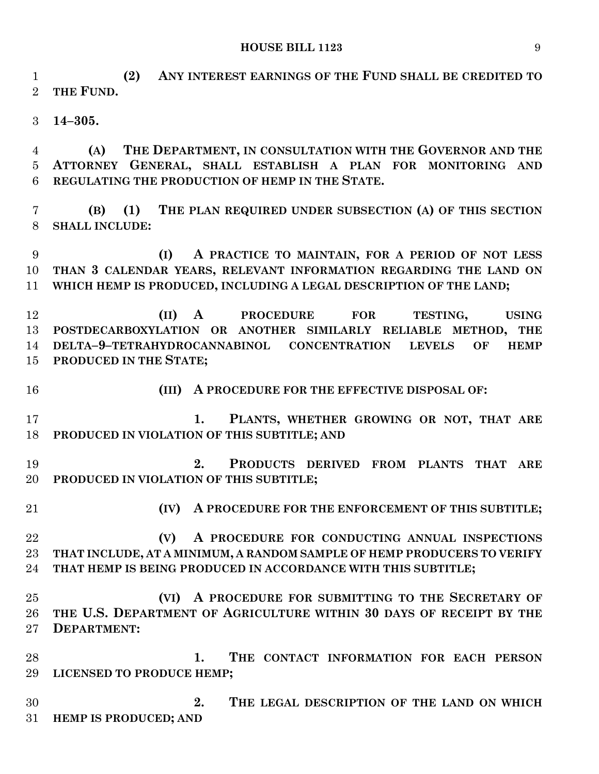**(2) ANY INTEREST EARNINGS OF THE FUND SHALL BE CREDITED TO THE FUND. 14–305.**

 **(A) THE DEPARTMENT, IN CONSULTATION WITH THE GOVERNOR AND THE ATTORNEY GENERAL, SHALL ESTABLISH A PLAN FOR MONITORING AND REGULATING THE PRODUCTION OF HEMP IN THE STATE.**

 **(B) (1) THE PLAN REQUIRED UNDER SUBSECTION (A) OF THIS SECTION SHALL INCLUDE:**

 **(I) A PRACTICE TO MAINTAIN, FOR A PERIOD OF NOT LESS THAN 3 CALENDAR YEARS, RELEVANT INFORMATION REGARDING THE LAND ON WHICH HEMP IS PRODUCED, INCLUDING A LEGAL DESCRIPTION OF THE LAND;**

 **(II) A PROCEDURE FOR TESTING, USING POSTDECARBOXYLATION OR ANOTHER SIMILARLY RELIABLE METHOD, THE DELTA–9–TETRAHYDROCANNABINOL CONCENTRATION LEVELS OF HEMP PRODUCED IN THE STATE;**

**(III) A PROCEDURE FOR THE EFFECTIVE DISPOSAL OF:**

 **1. PLANTS, WHETHER GROWING OR NOT, THAT ARE PRODUCED IN VIOLATION OF THIS SUBTITLE; AND**

 **2. PRODUCTS DERIVED FROM PLANTS THAT ARE PRODUCED IN VIOLATION OF THIS SUBTITLE;**

**(IV) A PROCEDURE FOR THE ENFORCEMENT OF THIS SUBTITLE;**

 **(V) A PROCEDURE FOR CONDUCTING ANNUAL INSPECTIONS THAT INCLUDE, AT A MINIMUM, A RANDOM SAMPLE OF HEMP PRODUCERS TO VERIFY THAT HEMP IS BEING PRODUCED IN ACCORDANCE WITH THIS SUBTITLE;**

 **(VI) A PROCEDURE FOR SUBMITTING TO THE SECRETARY OF THE U.S. DEPARTMENT OF AGRICULTURE WITHIN 30 DAYS OF RECEIPT BY THE DEPARTMENT:**

 **1. THE CONTACT INFORMATION FOR EACH PERSON LICENSED TO PRODUCE HEMP;**

 **2. THE LEGAL DESCRIPTION OF THE LAND ON WHICH HEMP IS PRODUCED; AND**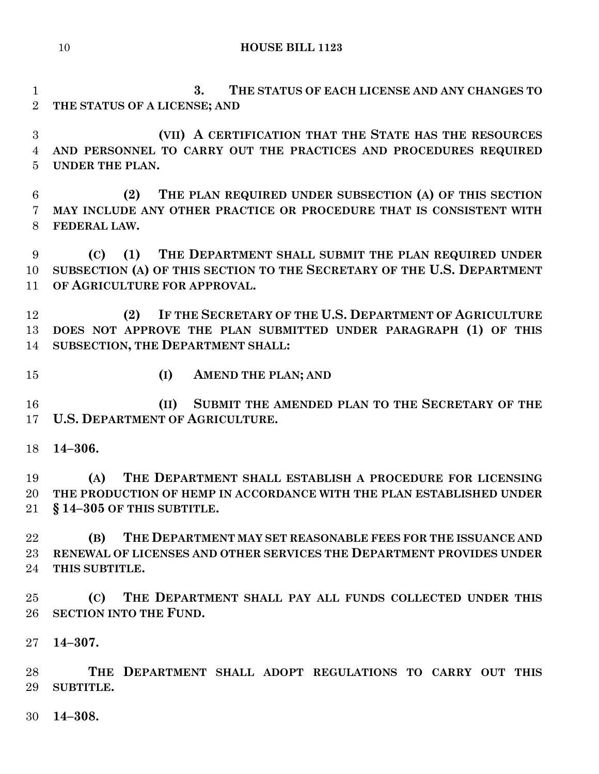**3. THE STATUS OF EACH LICENSE AND ANY CHANGES TO** 

 **(VII) A CERTIFICATION THAT THE STATE HAS THE RESOURCES AND PERSONNEL TO CARRY OUT THE PRACTICES AND PROCEDURES REQUIRED UNDER THE PLAN. (2) THE PLAN REQUIRED UNDER SUBSECTION (A) OF THIS SECTION MAY INCLUDE ANY OTHER PRACTICE OR PROCEDURE THAT IS CONSISTENT WITH FEDERAL LAW. (C) (1) THE DEPARTMENT SHALL SUBMIT THE PLAN REQUIRED UNDER SUBSECTION (A) OF THIS SECTION TO THE SECRETARY OF THE U.S. DEPARTMENT OF AGRICULTURE FOR APPROVAL. (2) IF THE SECRETARY OF THE U.S. DEPARTMENT OF AGRICULTURE DOES NOT APPROVE THE PLAN SUBMITTED UNDER PARAGRAPH (1) OF THIS SUBSECTION, THE DEPARTMENT SHALL: (I) AMEND THE PLAN; AND (II) SUBMIT THE AMENDED PLAN TO THE SECRETARY OF THE U.S. DEPARTMENT OF AGRICULTURE. 14–306. (A) THE DEPARTMENT SHALL ESTABLISH A PROCEDURE FOR LICENSING THE PRODUCTION OF HEMP IN ACCORDANCE WITH THE PLAN ESTABLISHED UNDER § 14–305 OF THIS SUBTITLE. (B) THE DEPARTMENT MAY SET REASONABLE FEES FOR THE ISSUANCE AND RENEWAL OF LICENSES AND OTHER SERVICES THE DEPARTMENT PROVIDES UNDER THIS SUBTITLE. (C) THE DEPARTMENT SHALL PAY ALL FUNDS COLLECTED UNDER THIS SECTION INTO THE FUND. 14–307. THE DEPARTMENT SHALL ADOPT REGULATIONS TO CARRY OUT THIS SUBTITLE. 14–308.**

**THE STATUS OF A LICENSE; AND**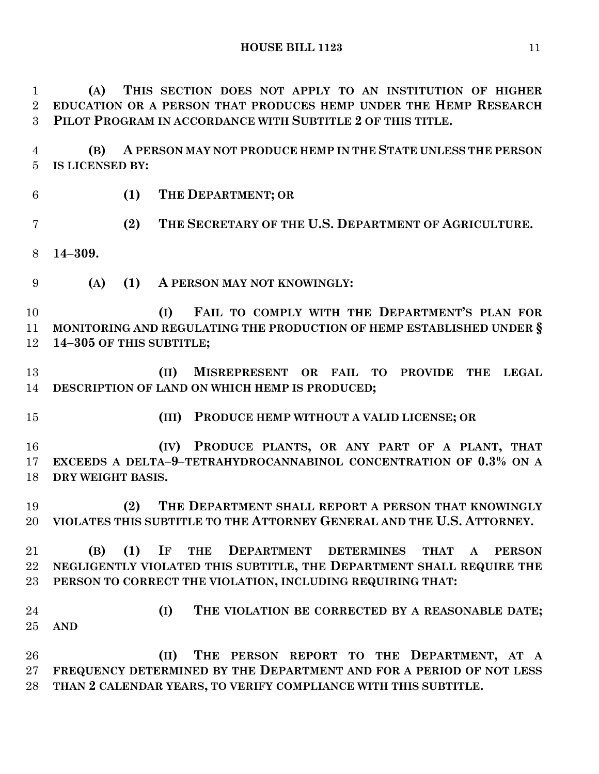**(A) THIS SECTION DOES NOT APPLY TO AN INSTITUTION OF HIGHER EDUCATION OR A PERSON THAT PRODUCES HEMP UNDER THE HEMP RESEARCH PILOT PROGRAM IN ACCORDANCE WITH SUBTITLE 2 OF THIS TITLE.**

 **(B) A PERSON MAY NOT PRODUCE HEMP IN THE STATE UNLESS THE PERSON IS LICENSED BY:**

**(1) THE DEPARTMENT; OR**

**(2) THE SECRETARY OF THE U.S. DEPARTMENT OF AGRICULTURE.**

**14–309.**

**(A) (1) A PERSON MAY NOT KNOWINGLY:**

 **(I) FAIL TO COMPLY WITH THE DEPARTMENT'S PLAN FOR MONITORING AND REGULATING THE PRODUCTION OF HEMP ESTABLISHED UNDER § 14–305 OF THIS SUBTITLE;**

 **(II) MISREPRESENT OR FAIL TO PROVIDE THE LEGAL DESCRIPTION OF LAND ON WHICH HEMP IS PRODUCED;**

- 
- **(III) PRODUCE HEMP WITHOUT A VALID LICENSE; OR**

 **(IV) PRODUCE PLANTS, OR ANY PART OF A PLANT, THAT EXCEEDS A DELTA–9–TETRAHYDROCANNABINOL CONCENTRATION OF 0.3% ON A DRY WEIGHT BASIS.**

 **(2) THE DEPARTMENT SHALL REPORT A PERSON THAT KNOWINGLY VIOLATES THIS SUBTITLE TO THE ATTORNEY GENERAL AND THE U.S. ATTORNEY.**

 **(B) (1) IF THE DEPARTMENT DETERMINES THAT A PERSON NEGLIGENTLY VIOLATED THIS SUBTITLE, THE DEPARTMENT SHALL REQUIRE THE PERSON TO CORRECT THE VIOLATION, INCLUDING REQUIRING THAT:**

 **(I) THE VIOLATION BE CORRECTED BY A REASONABLE DATE; AND**

 **(II) THE PERSON REPORT TO THE DEPARTMENT, AT A FREQUENCY DETERMINED BY THE DEPARTMENT AND FOR A PERIOD OF NOT LESS THAN 2 CALENDAR YEARS, TO VERIFY COMPLIANCE WITH THIS SUBTITLE.**